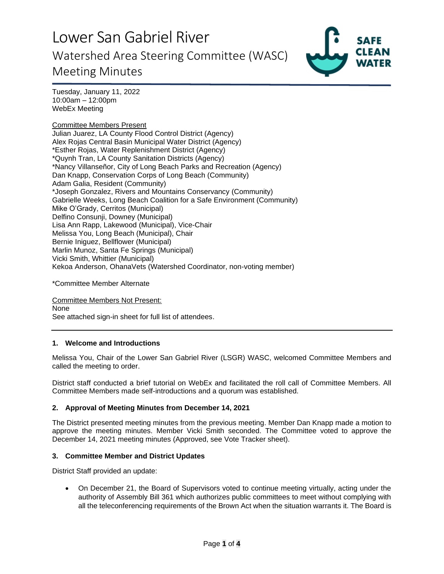

Tuesday, January 11, 2022 10:00am – 12:00pm WebEx Meeting

Committee Members Present Julian Juarez, LA County Flood Control District (Agency) Alex Rojas Central Basin Municipal Water District (Agency) \*Esther Rojas, Water Replenishment District (Agency) \*Quynh Tran, LA County Sanitation Districts (Agency) \*Nancy Villanseñor, City of Long Beach Parks and Recreation (Agency) Dan Knapp, Conservation Corps of Long Beach (Community) Adam Galia, Resident (Community) \*Joseph Gonzalez, Rivers and Mountains Conservancy (Community) Gabrielle Weeks, Long Beach Coalition for a Safe Environment (Community) Mike O'Grady, Cerritos (Municipal) Delfino Consunji, Downey (Municipal) Lisa Ann Rapp, Lakewood (Municipal), Vice-Chair Melissa You, Long Beach (Municipal), Chair Bernie Iniguez, Bellflower (Municipal) Marlin Munoz, Santa Fe Springs (Municipal) Vicki Smith, Whittier (Municipal) Kekoa Anderson, OhanaVets (Watershed Coordinator, non-voting member)

\*Committee Member Alternate

Committee Members Not Present: None See attached sign-in sheet for full list of attendees.

## **1. Welcome and Introductions**

Melissa You, Chair of the Lower San Gabriel River (LSGR) WASC, welcomed Committee Members and called the meeting to order.

District staff conducted a brief tutorial on WebEx and facilitated the roll call of Committee Members. All Committee Members made self-introductions and a quorum was established.

#### **2. Approval of Meeting Minutes from December 14, 2021**

The District presented meeting minutes from the previous meeting. Member Dan Knapp made a motion to approve the meeting minutes. Member Vicki Smith seconded. The Committee voted to approve the December 14, 2021 meeting minutes (Approved, see Vote Tracker sheet).

#### **3. Committee Member and District Updates**

District Staff provided an update:

• On December 21, the Board of Supervisors voted to continue meeting virtually, acting under the authority of Assembly Bill 361 which authorizes public committees to meet without complying with all the teleconferencing requirements of the Brown Act when the situation warrants it. The Board is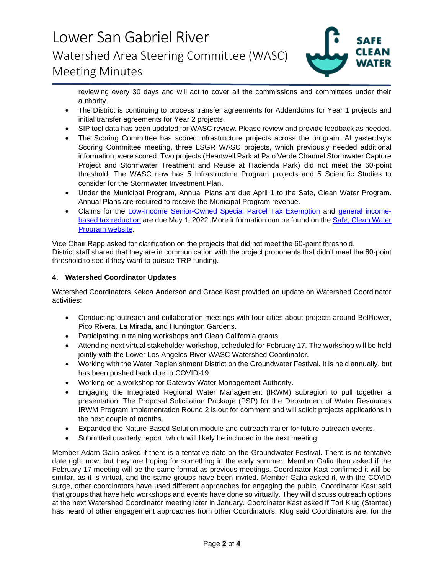

reviewing every 30 days and will act to cover all the commissions and committees under their authority.

- The District is continuing to process transfer agreements for Addendums for Year 1 projects and initial transfer agreements for Year 2 projects.
- SIP tool data has been updated for WASC review. Please review and provide feedback as needed.
- The Scoring Committee has scored infrastructure projects across the program. At yesterday's Scoring Committee meeting, three LSGR WASC projects, which previously needed additional information, were scored. Two projects (Heartwell Park at Palo Verde Channel Stormwater Capture Project and Stormwater Treatment and Reuse at Hacienda Park) did not meet the 60-point threshold. The WASC now has 5 Infrastructure Program projects and 5 Scientific Studies to consider for the Stormwater Investment Plan.
- Under the Municipal Program, Annual Plans are due April 1 to the Safe, Clean Water Program. Annual Plans are required to receive the Municipal Program revenue.
- Claims for the [Low-Income Senior-Owned Special Parcel Tax Exemption](https://safecleanwaterla.org/wp-content/uploads/2021/06/Low-Income-Senior-Owned-Parcel-Application-20210621.pdf) and [general income](https://safecleanwaterla.org/wp-content/uploads/2021/06/General-Income-Based-Tax-Reduction-Application-20210607.pdf)[based tax reduction](https://safecleanwaterla.org/wp-content/uploads/2021/06/General-Income-Based-Tax-Reduction-Application-20210607.pdf) are due May 1, 2022. More information can be found on the [Safe, Clean Water](https://safecleanwaterla.org/resources/tools/)  [Program website.](https://safecleanwaterla.org/resources/tools/)

Vice Chair Rapp asked for clarification on the projects that did not meet the 60-point threshold. District staff shared that they are in communication with the project proponents that didn't meet the 60-point threshold to see if they want to pursue TRP funding.

# **4. Watershed Coordinator Updates**

Watershed Coordinators Kekoa Anderson and Grace Kast provided an update on Watershed Coordinator activities:

- Conducting outreach and collaboration meetings with four cities about projects around Bellflower, Pico Rivera, La Mirada, and Huntington Gardens.
- Participating in training workshops and Clean California grants.
- Attending next virtual stakeholder workshop, scheduled for February 17. The workshop will be held jointly with the Lower Los Angeles River WASC Watershed Coordinator.
- Working with the Water Replenishment District on the Groundwater Festival. It is held annually, but has been pushed back due to COVID-19.
- Working on a workshop for Gateway Water Management Authority.
- Engaging the Integrated Regional Water Management (IRWM) subregion to pull together a presentation. The Proposal Solicitation Package (PSP) for the Department of Water Resources IRWM Program Implementation Round 2 is out for comment and will solicit projects applications in the next couple of months.
- Expanded the Nature-Based Solution module and outreach trailer for future outreach events.
- Submitted quarterly report, which will likely be included in the next meeting.

Member Adam Galia asked if there is a tentative date on the Groundwater Festival. There is no tentative date right now, but they are hoping for something in the early summer. Member Galia then asked if the February 17 meeting will be the same format as previous meetings. Coordinator Kast confirmed it will be similar, as it is virtual, and the same groups have been invited. Member Galia asked if, with the COVID surge, other coordinators have used different approaches for engaging the public. Coordinator Kast said that groups that have held workshops and events have done so virtually. They will discuss outreach options at the next Watershed Coordinator meeting later in January. Coordinator Kast asked if Tori Klug (Stantec) has heard of other engagement approaches from other Coordinators. Klug said Coordinators are, for the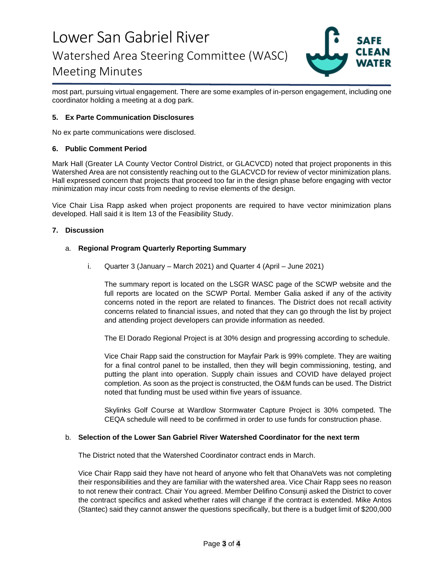

most part, pursuing virtual engagement. There are some examples of in-person engagement, including one coordinator holding a meeting at a dog park.

## **5. Ex Parte Communication Disclosures**

No ex parte communications were disclosed.

### **6. Public Comment Period**

Mark Hall (Greater LA County Vector Control District, or GLACVCD) noted that project proponents in this Watershed Area are not consistently reaching out to the GLACVCD for review of vector minimization plans. Hall expressed concern that projects that proceed too far in the design phase before engaging with vector minimization may incur costs from needing to revise elements of the design.

Vice Chair Lisa Rapp asked when project proponents are required to have vector minimization plans developed. Hall said it is Item 13 of the Feasibility Study.

### **7. Discussion**

### a. **Regional Program Quarterly Reporting Summary**

i. Quarter 3 (January – March 2021) and Quarter 4 (April – June 2021)

The summary report is located on the LSGR WASC page of the SCWP website and the full reports are located on the SCWP Portal. Member Galia asked if any of the activity concerns noted in the report are related to finances. The District does not recall activity concerns related to financial issues, and noted that they can go through the list by project and attending project developers can provide information as needed.

The El Dorado Regional Project is at 30% design and progressing according to schedule.

Vice Chair Rapp said the construction for Mayfair Park is 99% complete. They are waiting for a final control panel to be installed, then they will begin commissioning, testing, and putting the plant into operation. Supply chain issues and COVID have delayed project completion. As soon as the project is constructed, the O&M funds can be used. The District noted that funding must be used within five years of issuance.

Skylinks Golf Course at Wardlow Stormwater Capture Project is 30% competed. The CEQA schedule will need to be confirmed in order to use funds for construction phase.

#### b. **Selection of the Lower San Gabriel River Watershed Coordinator for the next term**

The District noted that the Watershed Coordinator contract ends in March.

Vice Chair Rapp said they have not heard of anyone who felt that OhanaVets was not completing their responsibilities and they are familiar with the watershed area. Vice Chair Rapp sees no reason to not renew their contract. Chair You agreed. Member Delifino Consunji asked the District to cover the contract specifics and asked whether rates will change if the contract is extended. Mike Antos (Stantec) said they cannot answer the questions specifically, but there is a budget limit of \$200,000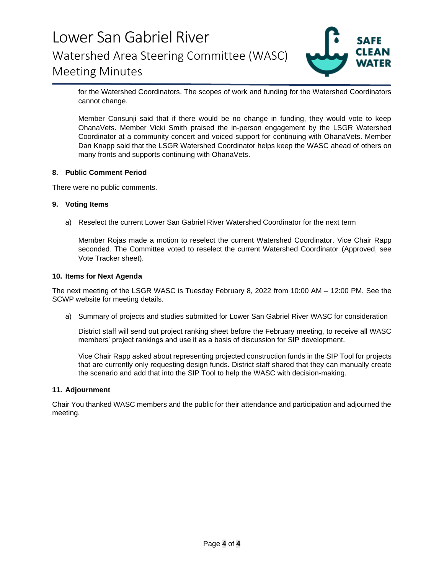

for the Watershed Coordinators. The scopes of work and funding for the Watershed Coordinators cannot change.

Member Consunji said that if there would be no change in funding, they would vote to keep OhanaVets. Member Vicki Smith praised the in-person engagement by the LSGR Watershed Coordinator at a community concert and voiced support for continuing with OhanaVets. Member Dan Knapp said that the LSGR Watershed Coordinator helps keep the WASC ahead of others on many fronts and supports continuing with OhanaVets.

### **8. Public Comment Period**

There were no public comments.

### **9. Voting Items**

a) Reselect the current Lower San Gabriel River Watershed Coordinator for the next term

Member Rojas made a motion to reselect the current Watershed Coordinator. Vice Chair Rapp seconded. The Committee voted to reselect the current Watershed Coordinator (Approved, see Vote Tracker sheet).

#### **10. Items for Next Agenda**

The next meeting of the LSGR WASC is Tuesday February 8, 2022 from 10:00 AM – 12:00 PM. See the SCWP website for meeting details.

a) Summary of projects and studies submitted for Lower San Gabriel River WASC for consideration

District staff will send out project ranking sheet before the February meeting, to receive all WASC members' project rankings and use it as a basis of discussion for SIP development.

Vice Chair Rapp asked about representing projected construction funds in the SIP Tool for projects that are currently only requesting design funds. District staff shared that they can manually create the scenario and add that into the SIP Tool to help the WASC with decision-making.

#### **11. Adjournment**

Chair You thanked WASC members and the public for their attendance and participation and adjourned the meeting.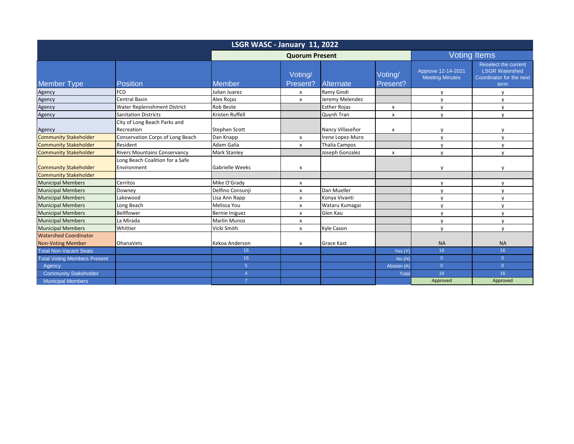| LSGR WASC - January 11, 2022                                 |                                                |                       |                     |                      |                           |                                              |                                                                                   |  |
|--------------------------------------------------------------|------------------------------------------------|-----------------------|---------------------|----------------------|---------------------------|----------------------------------------------|-----------------------------------------------------------------------------------|--|
|                                                              |                                                | <b>Quorum Present</b> |                     |                      | <b>Voting Items</b>       |                                              |                                                                                   |  |
| <b>Member Type</b>                                           | <b>Position</b>                                | <b>Member</b>         | Voting/<br>Present? | Alternate            | Voting/<br>Present?       | Approve 12-14-2021<br><b>Meeting Minutes</b> | Reselect the current<br><b>LSGR Watershed</b><br>Coordinator for the next<br>term |  |
| Agency                                                       | <b>FCD</b>                                     | Julian Juarez         | $\mathsf{x}$        | Ramy Gindi           |                           | V                                            | $\mathsf{v}$                                                                      |  |
| Agency                                                       | <b>Central Basin</b>                           | Alex Rojas            | X                   | Jeremy Melendez      |                           | $\mathsf{V}$                                 | $\mathsf{v}$                                                                      |  |
| Agency                                                       | Water Replenishment District                   | Rob Beste             |                     | <b>Esther Rojas</b>  | $\boldsymbol{\mathsf{x}}$ | $\mathsf{v}$                                 | $\mathsf{V}$                                                                      |  |
| Agency                                                       | <b>Sanitation Districts</b>                    | Kristen Ruffell       |                     | Quynh Tran           | $\boldsymbol{\mathsf{x}}$ | $\mathsf{v}$                                 | $\mathbf{v}$                                                                      |  |
| Agency                                                       | City of Long Beach Parks and<br>Recreation     | <b>Stephen Scott</b>  |                     | Nancy Villaseñor     | $\mathsf{x}$              | y                                            | v                                                                                 |  |
| <b>Community Stakeholder</b>                                 | <b>Conservation Corps of Long Beach</b>        | Dan Knapp             | x                   | Irene Lopez-Muro     |                           | y                                            | $\mathsf{V}$                                                                      |  |
| <b>Community Stakeholder</b>                                 | Resident                                       | Adam Galia            | x                   | <b>Thalia Campos</b> |                           | y                                            | $\mathsf{v}$                                                                      |  |
| <b>Community Stakeholder</b>                                 | <b>Rivers Mountains Conservancy</b>            | <b>Mark Stanley</b>   |                     | Joseph Gonzalez      | $\boldsymbol{\mathsf{x}}$ | $\mathsf{V}$                                 | $\mathbf{v}$                                                                      |  |
| <b>Community Stakeholder</b><br><b>Community Stakeholder</b> | Long Beach Coalition for a Safe<br>Environment | Gabrielle Weeks       | x                   |                      |                           | y                                            | v                                                                                 |  |
| <b>Municipal Members</b>                                     | Cerritos                                       | Mike O'Grady          | X                   |                      |                           | y                                            | $\mathsf{v}$                                                                      |  |
| <b>Municipal Members</b>                                     | Downey                                         | Delfino Consunji      | X                   | Dan Mueller          |                           | $\mathsf{V}$                                 | $\mathsf{v}$                                                                      |  |
| <b>Municipal Members</b>                                     | Lakewood                                       | Lisa Ann Rapp         | X                   | Konya Vivanti        |                           | $\mathsf{V}$                                 | $\mathbf{v}$                                                                      |  |
| <b>Municipal Members</b>                                     | Long Beach                                     | Melissa You           | x                   | Wataru Kumagai       |                           | $\mathsf{v}$                                 | $\mathsf{v}$                                                                      |  |
| <b>Municipal Members</b>                                     | <b>Bellflower</b>                              | Bernie Iniguez        | x                   | Glen Kau             |                           | $\mathsf{V}$                                 | $\mathsf{V}$                                                                      |  |
| <b>Municipal Members</b>                                     | La Mirada                                      | <b>Marlin Munoz</b>   | X                   |                      |                           | y                                            | $\mathsf{V}$                                                                      |  |
| <b>Municipal Members</b>                                     | Whittier                                       | Vicki Smith           | X                   | Kyle Cason           |                           | $\mathsf{v}$                                 | y                                                                                 |  |
| <b>Watershed Coordinator</b>                                 |                                                |                       |                     |                      |                           |                                              |                                                                                   |  |
| <b>Non-Voting Member</b>                                     | <b>OhanaVets</b>                               | Kekoa Anderson        | X                   | Grace Kast           |                           | <b>NA</b>                                    | <b>NA</b>                                                                         |  |
| <b>Total Non-Vacant Seats</b>                                |                                                | 16 <sup>°</sup>       |                     |                      | Yes (Y)                   | 16                                           | 16                                                                                |  |
| <b>Total Voting Members Present</b>                          |                                                | 16 <sup>°</sup>       |                     |                      | No(N)                     | $\overline{0}$                               | $\overline{0}$                                                                    |  |
| Agency                                                       |                                                | 5 <sup>5</sup>        |                     |                      | Abstain (A)               | $\overline{0}$                               | $\overline{0}$                                                                    |  |
| <b>Community Stakeholder</b>                                 |                                                | $\overline{4}$        |                     |                      | <b>Total</b>              | 16                                           | 16                                                                                |  |
| <b>Municipal Members</b>                                     |                                                | $\overline{7}$        |                     |                      |                           | Approved                                     | Approved                                                                          |  |